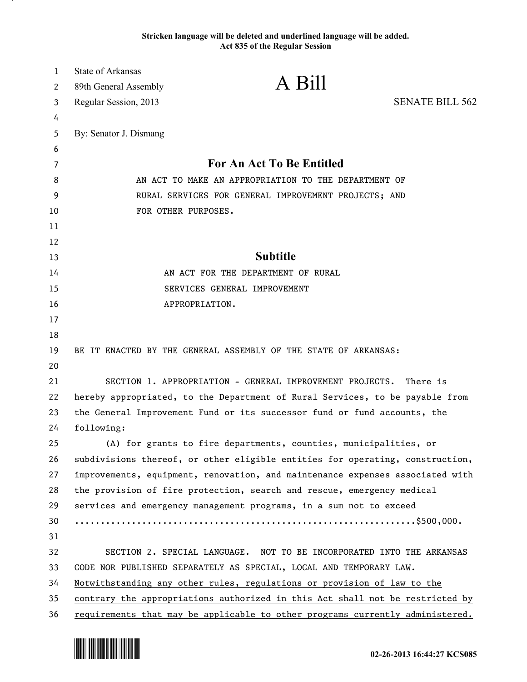## **Stricken language will be deleted and underlined language will be added. Act 835 of the Regular Session**

| $\mathbf{1}$ | <b>State of Arkansas</b>                             |                                                                               |                        |
|--------------|------------------------------------------------------|-------------------------------------------------------------------------------|------------------------|
| 2            | 89th General Assembly                                | A Bill                                                                        |                        |
| 3            | Regular Session, 2013                                |                                                                               | <b>SENATE BILL 562</b> |
| 4            |                                                      |                                                                               |                        |
| 5            | By: Senator J. Dismang                               |                                                                               |                        |
| 6            |                                                      |                                                                               |                        |
| 7            | For An Act To Be Entitled                            |                                                                               |                        |
| 8            | AN ACT TO MAKE AN APPROPRIATION TO THE DEPARTMENT OF |                                                                               |                        |
| 9            | RURAL SERVICES FOR GENERAL IMPROVEMENT PROJECTS; AND |                                                                               |                        |
| 10           | FOR OTHER PURPOSES.                                  |                                                                               |                        |
| 11           |                                                      |                                                                               |                        |
| 12           |                                                      |                                                                               |                        |
| 13           |                                                      | <b>Subtitle</b>                                                               |                        |
| 14           |                                                      | AN ACT FOR THE DEPARTMENT OF RURAL                                            |                        |
| 15           |                                                      | SERVICES GENERAL IMPROVEMENT                                                  |                        |
| 16           | APPROPRIATION.                                       |                                                                               |                        |
| 17           |                                                      |                                                                               |                        |
| 18           |                                                      |                                                                               |                        |
| 19           |                                                      | BE IT ENACTED BY THE GENERAL ASSEMBLY OF THE STATE OF ARKANSAS:               |                        |
| 20           |                                                      |                                                                               |                        |
| 21           |                                                      | SECTION 1. APPROPRIATION - GENERAL IMPROVEMENT PROJECTS.                      | There is               |
| 22           |                                                      | hereby appropriated, to the Department of Rural Services, to be payable from  |                        |
| 23           |                                                      | the General Improvement Fund or its successor fund or fund accounts, the      |                        |
| 24           | following:                                           |                                                                               |                        |
| 25           |                                                      | (A) for grants to fire departments, counties, municipalities, or              |                        |
| 26           |                                                      | subdivisions thereof, or other eligible entities for operating, construction, |                        |
| 27           |                                                      | improvements, equipment, renovation, and maintenance expenses associated with |                        |
| 28           |                                                      | the provision of fire protection, search and rescue, emergency medical        |                        |
| 29           |                                                      | services and emergency management programs, in a sum not to exceed            |                        |
| 30           |                                                      |                                                                               |                        |
| 31           |                                                      |                                                                               |                        |
| 32           |                                                      | SECTION 2. SPECIAL LANGUAGE. NOT TO BE INCORPORATED INTO THE ARKANSAS         |                        |
| 33           |                                                      | CODE NOR PUBLISHED SEPARATELY AS SPECIAL, LOCAL AND TEMPORARY LAW.            |                        |
| 34           |                                                      | Notwithstanding any other rules, regulations or provision of law to the       |                        |
| 35           |                                                      | contrary the appropriations authorized in this Act shall not be restricted by |                        |
| 36           |                                                      | requirements that may be applicable to other programs currently administered. |                        |

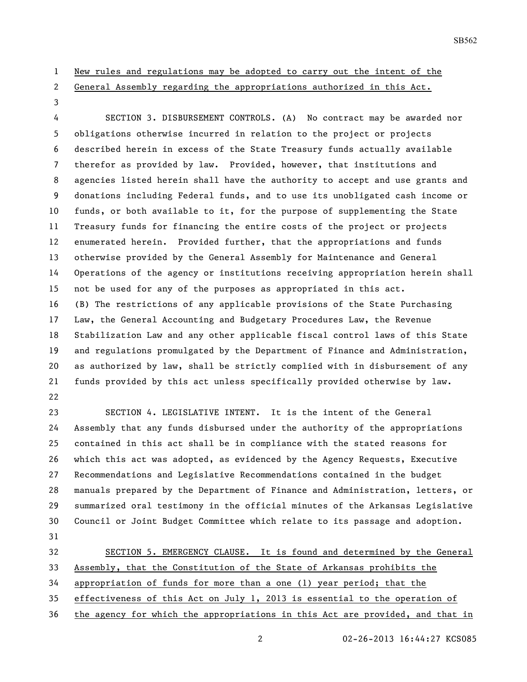- New rules and regulations may be adopted to carry out the intent of the
- 

## General Assembly regarding the appropriations authorized in this Act.

 SECTION 3. DISBURSEMENT CONTROLS. (A) No contract may be awarded nor obligations otherwise incurred in relation to the project or projects described herein in excess of the State Treasury funds actually available therefor as provided by law. Provided, however, that institutions and agencies listed herein shall have the authority to accept and use grants and donations including Federal funds, and to use its unobligated cash income or funds, or both available to it, for the purpose of supplementing the State Treasury funds for financing the entire costs of the project or projects enumerated herein. Provided further, that the appropriations and funds otherwise provided by the General Assembly for Maintenance and General Operations of the agency or institutions receiving appropriation herein shall not be used for any of the purposes as appropriated in this act. (B) The restrictions of any applicable provisions of the State Purchasing Law, the General Accounting and Budgetary Procedures Law, the Revenue Stabilization Law and any other applicable fiscal control laws of this State and regulations promulgated by the Department of Finance and Administration, as authorized by law, shall be strictly complied with in disbursement of any funds provided by this act unless specifically provided otherwise by law. 

 SECTION 4. LEGISLATIVE INTENT. It is the intent of the General Assembly that any funds disbursed under the authority of the appropriations contained in this act shall be in compliance with the stated reasons for which this act was adopted, as evidenced by the Agency Requests, Executive Recommendations and Legislative Recommendations contained in the budget manuals prepared by the Department of Finance and Administration, letters, or summarized oral testimony in the official minutes of the Arkansas Legislative Council or Joint Budget Committee which relate to its passage and adoption. 

32 SECTION 5. EMERGENCY CLAUSE. It is found and determined by the General Assembly, that the Constitution of the State of Arkansas prohibits the appropriation of funds for more than a one (1) year period; that the effectiveness of this Act on July 1, 2013 is essential to the operation of

the agency for which the appropriations in this Act are provided, and that in